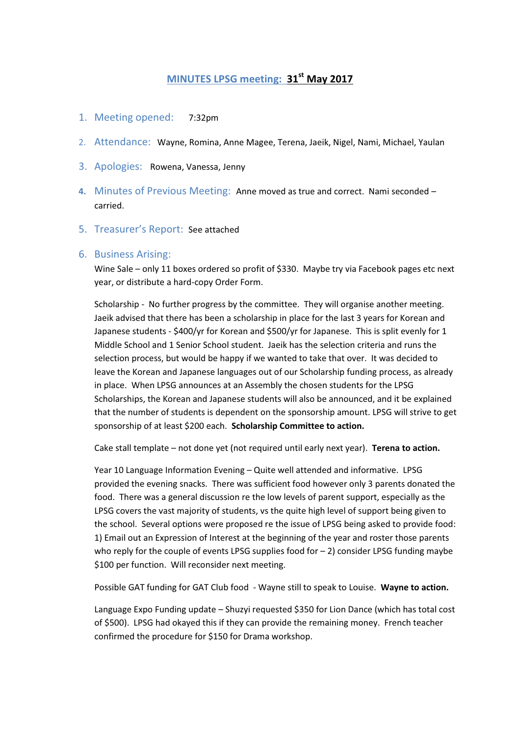## **MINUTES LPSG meeting: 31st May 2017**

- 1. Meeting opened: 7:32pm
- 2. Attendance: Wayne, Romina, Anne Magee, Terena, Jaeik, Nigel, Nami, Michael, Yaulan
- 3. Apologies: Rowena, Vanessa, Jenny
- **4.** Minutes of Previous Meeting: Anne moved as true and correct. Nami seconded carried.
- 5. Treasurer's Report: See attached

## 6. Business Arising:

Wine Sale – only 11 boxes ordered so profit of \$330. Maybe try via Facebook pages etc next year, or distribute a hard-copy Order Form.

Scholarship - No further progress by the committee. They will organise another meeting. Jaeik advised that there has been a scholarship in place for the last 3 years for Korean and Japanese students - \$400/yr for Korean and \$500/yr for Japanese. This is split evenly for 1 Middle School and 1 Senior School student. Jaeik has the selection criteria and runs the selection process, but would be happy if we wanted to take that over. It was decided to leave the Korean and Japanese languages out of our Scholarship funding process, as already in place. When LPSG announces at an Assembly the chosen students for the LPSG Scholarships, the Korean and Japanese students will also be announced, and it be explained that the number of students is dependent on the sponsorship amount. LPSG will strive to get sponsorship of at least \$200 each. **Scholarship Committee to action.** 

Cake stall template – not done yet (not required until early next year). **Terena to action.** 

Year 10 Language Information Evening – Quite well attended and informative. LPSG provided the evening snacks. There was sufficient food however only 3 parents donated the food. There was a general discussion re the low levels of parent support, especially as the LPSG covers the vast majority of students, vs the quite high level of support being given to the school. Several options were proposed re the issue of LPSG being asked to provide food: 1) Email out an Expression of Interest at the beginning of the year and roster those parents who reply for the couple of events LPSG supplies food for  $-2$ ) consider LPSG funding maybe \$100 per function. Will reconsider next meeting.

Possible GAT funding for GAT Club food - Wayne still to speak to Louise. **Wayne to action.** 

Language Expo Funding update – Shuzyi requested \$350 for Lion Dance (which has total cost of \$500). LPSG had okayed this if they can provide the remaining money. French teacher confirmed the procedure for \$150 for Drama workshop.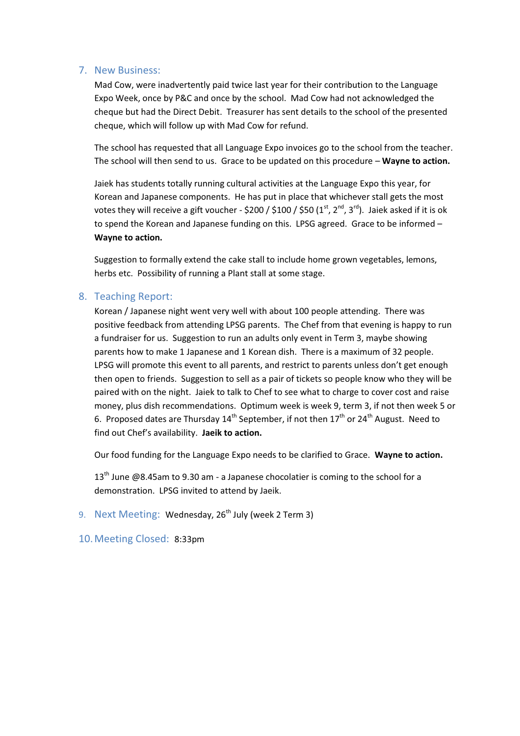## 7. New Business:

Mad Cow, were inadvertently paid twice last year for their contribution to the Language Expo Week, once by P&C and once by the school. Mad Cow had not acknowledged the cheque but had the Direct Debit. Treasurer has sent details to the school of the presented cheque, which will follow up with Mad Cow for refund.

The school has requested that all Language Expo invoices go to the school from the teacher. The school will then send to us. Grace to be updated on this procedure – **Wayne to action.**

Jaiek has students totally running cultural activities at the Language Expo this year, for Korean and Japanese components. He has put in place that whichever stall gets the most votes they will receive a gift voucher - \$200 / \$100 / \$50  $(1<sup>st</sup>, 2<sup>nd</sup>, 3<sup>rd</sup>)$ . Jaiek asked if it is ok to spend the Korean and Japanese funding on this. LPSG agreed. Grace to be informed – **Wayne to action.** 

Suggestion to formally extend the cake stall to include home grown vegetables, lemons, herbs etc. Possibility of running a Plant stall at some stage.

## 8. Teaching Report:

Korean / Japanese night went very well with about 100 people attending. There was positive feedback from attending LPSG parents. The Chef from that evening is happy to run a fundraiser for us. Suggestion to run an adults only event in Term 3, maybe showing parents how to make 1 Japanese and 1 Korean dish. There is a maximum of 32 people. LPSG will promote this event to all parents, and restrict to parents unless don't get enough then open to friends. Suggestion to sell as a pair of tickets so people know who they will be paired with on the night. Jaiek to talk to Chef to see what to charge to cover cost and raise money, plus dish recommendations. Optimum week is week 9, term 3, if not then week 5 or 6. Proposed dates are Thursday  $14^{th}$  September, if not then  $17^{th}$  or  $24^{th}$  August. Need to find out Chef's availability. **Jaeik to action.** 

Our food funding for the Language Expo needs to be clarified to Grace. **Wayne to action.** 

 $13<sup>th</sup>$  June @8.45am to 9.30 am - a Japanese chocolatier is coming to the school for a demonstration. LPSG invited to attend by Jaeik.

9. Next Meeting: Wednesday, 26<sup>th</sup> July (week 2 Term 3)

10.Meeting Closed: 8:33pm